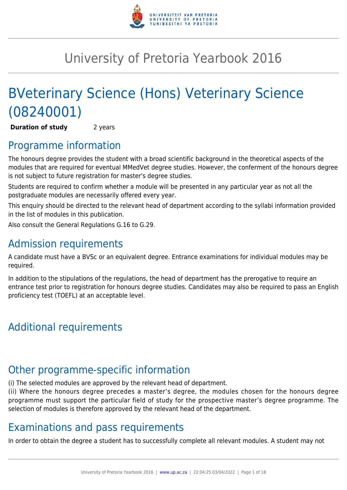

## University of Pretoria Yearbook 2016

# BVeterinary Science (Hons) Veterinary Science (08240001)

**Duration of study** 2 years

### Programme information

The honours degree provides the student with a broad scientific background in the theoretical aspects of the modules that are required for eventual MMedVet degree studies. However, the conferment of the honours degree is not subject to future registration for master's degree studies.

Students are required to confirm whether a module will be presented in any particular year as not all the postgraduate modules are necessarily offered every year.

This enquiry should be directed to the relevant head of department according to the syllabi information provided in the list of modules in this publication.

Also consult the General Regulations G.16 to G.29.

### Admission requirements

A candidate must have a BVSc or an equivalent degree. Entrance examinations for individual modules may be required.

In addition to the stipulations of the regulations, the head of department has the prerogative to require an entrance test prior to registration for honours degree studies. Candidates may also be required to pass an English proficiency test (TOEFL) at an acceptable level.

## Additional requirements

### Other programme-specific information

(i) The selected modules are approved by the relevant head of department.

(ii) Where the honours degree precedes a master's degree, the modules chosen for the honours degree programme must support the particular field of study for the prospective master's degree programme. The selection of modules is therefore approved by the relevant head of the department.

### Examinations and pass requirements

In order to obtain the degree a student has to successfully complete all relevant modules. A student may not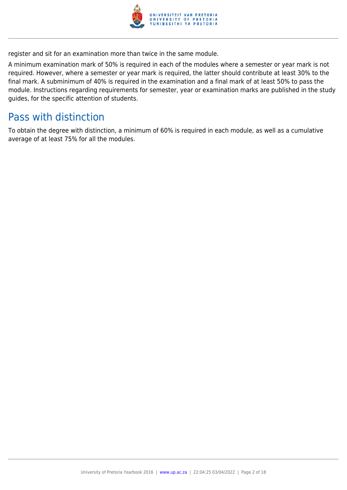

register and sit for an examination more than twice in the same module.

A minimum examination mark of 50% is required in each of the modules where a semester or year mark is not required. However, where a semester or year mark is required, the latter should contribute at least 30% to the final mark. A subminimum of 40% is required in the examination and a final mark of at least 50% to pass the module. Instructions regarding requirements for semester, year or examination marks are published in the study guides, for the specific attention of students.

### Pass with distinction

To obtain the degree with distinction, a minimum of 60% is required in each module, as well as a cumulative average of at least 75% for all the modules.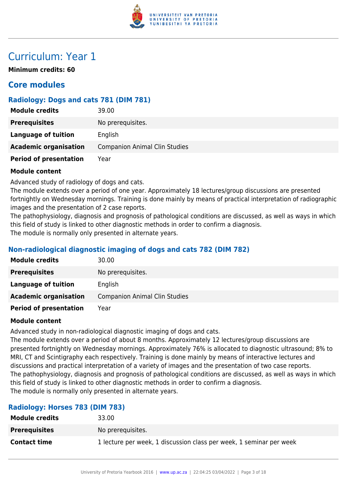

### Curriculum: Year 1

**Minimum credits: 60**

### **Core modules**

### **Radiology: Dogs and cats 781 (DIM 781)**

| <b>Module credits</b>         | 39.00                                |
|-------------------------------|--------------------------------------|
| <b>Prerequisites</b>          | No prerequisites.                    |
| <b>Language of tuition</b>    | English                              |
| <b>Academic organisation</b>  | <b>Companion Animal Clin Studies</b> |
| <b>Period of presentation</b> | Year                                 |

### **Module content**

Advanced study of radiology of dogs and cats.

The module extends over a period of one year. Approximately 18 lectures/group discussions are presented fortnightly on Wednesday mornings. Training is done mainly by means of practical interpretation of radiographic images and the presentation of 2 case reports.

The pathophysiology, diagnosis and prognosis of pathological conditions are discussed, as well as ways in which this field of study is linked to other diagnostic methods in order to confirm a diagnosis.

The module is normally only presented in alternate years.

### **Non-radiological diagnostic imaging of dogs and cats 782 (DIM 782)**

| <b>Module credits</b>         | 30.00                                |
|-------------------------------|--------------------------------------|
| <b>Prerequisites</b>          | No prerequisites.                    |
| Language of tuition           | English                              |
| <b>Academic organisation</b>  | <b>Companion Animal Clin Studies</b> |
| <b>Period of presentation</b> | Year                                 |

### **Module content**

Advanced study in non-radiological diagnostic imaging of dogs and cats.

The module extends over a period of about 8 months. Approximately 12 lectures/group discussions are presented fortnightly on Wednesday mornings. Approximately 76% is allocated to diagnostic ultrasound; 8% to MRI, CT and Scintigraphy each respectively. Training is done mainly by means of interactive lectures and discussions and practical interpretation of a variety of images and the presentation of two case reports. The pathophysiology, diagnosis and prognosis of pathological conditions are discussed, as well as ways in which this field of study is linked to other diagnostic methods in order to confirm a diagnosis. The module is normally only presented in alternate years.

### **Radiology: Horses 783 (DIM 783)**

| <b>Module credits</b> | 33.00                                                               |
|-----------------------|---------------------------------------------------------------------|
| <b>Prerequisites</b>  | No prerequisites.                                                   |
| <b>Contact time</b>   | 1 lecture per week, 1 discussion class per week, 1 seminar per week |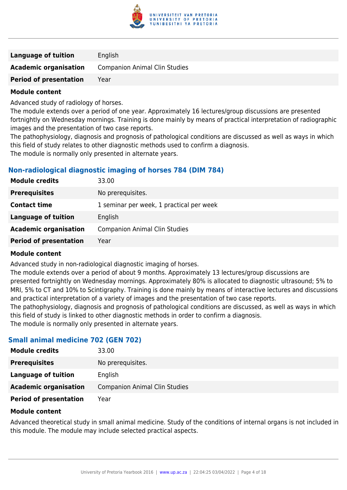

| <b>Language of tuition</b>    | English                              |
|-------------------------------|--------------------------------------|
| <b>Academic organisation</b>  | <b>Companion Animal Clin Studies</b> |
| <b>Period of presentation</b> | Year                                 |

Advanced study of radiology of horses.

The module extends over a period of one year. Approximately 16 lectures/group discussions are presented fortnightly on Wednesday mornings. Training is done mainly by means of practical interpretation of radiographic images and the presentation of two case reports.

The pathophysiology, diagnosis and prognosis of pathological conditions are discussed as well as ways in which this field of study relates to other diagnostic methods used to confirm a diagnosis.

The module is normally only presented in alternate years.

### **Non-radiological diagnostic imaging of horses 784 (DIM 784)**

| 33.00                                    |
|------------------------------------------|
| No prerequisites.                        |
| 1 seminar per week, 1 practical per week |
| English                                  |
| <b>Companion Animal Clin Studies</b>     |
| Year                                     |
|                                          |

### **Module content**

Advanced study in non-radiological diagnostic imaging of horses.

The module extends over a period of about 9 months. Approximately 13 lectures/group discussions are presented fortnightly on Wednesday mornings. Approximately 80% is allocated to diagnostic ultrasound; 5% to MRI, 5% to CT and 10% to Scintigraphy. Training is done mainly by means of interactive lectures and discussions and practical interpretation of a variety of images and the presentation of two case reports.

The pathophysiology, diagnosis and prognosis of pathological conditions are discussed, as well as ways in which this field of study is linked to other diagnostic methods in order to confirm a diagnosis.

The module is normally only presented in alternate years.

### **Small animal medicine 702 (GEN 702)**

| <b>Module credits</b>         | 33.00                                |
|-------------------------------|--------------------------------------|
| <b>Prerequisites</b>          | No prerequisites.                    |
| Language of tuition           | English                              |
| <b>Academic organisation</b>  | <b>Companion Animal Clin Studies</b> |
| <b>Period of presentation</b> | Year                                 |

### **Module content**

Advanced theoretical study in small animal medicine. Study of the conditions of internal organs is not included in this module. The module may include selected practical aspects.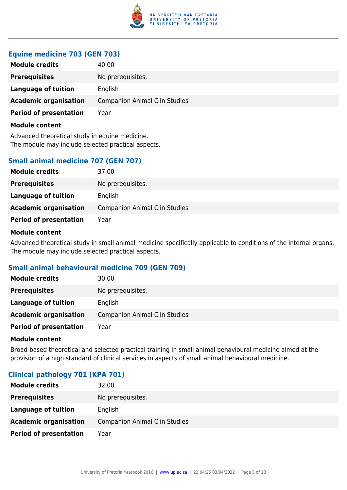

### **Equine medicine 703 (GEN 703)**

| <b>Module credits</b>         | 40.00                                |
|-------------------------------|--------------------------------------|
| <b>Prerequisites</b>          | No prerequisites.                    |
| Language of tuition           | English                              |
| <b>Academic organisation</b>  | <b>Companion Animal Clin Studies</b> |
| <b>Period of presentation</b> | Year                                 |
| Module content                |                                      |

Advanced theoretical study in equine medicine. The module may include selected practical aspects.

### **Small animal medicine 707 (GEN 707)**

| <b>Module credits</b>         | 37.00                                |
|-------------------------------|--------------------------------------|
| <b>Prerequisites</b>          | No prerequisites.                    |
| Language of tuition           | English                              |
| <b>Academic organisation</b>  | <b>Companion Animal Clin Studies</b> |
| <b>Period of presentation</b> | Year                                 |

### **Module content**

Advanced theoretical study in small animal medicine specifically applicable to conditions of the internal organs. The module may include selected practical aspects.

### **Small animal behavioural medicine 709 (GEN 709)**

| <b>Module credits</b>         | 30.00                                |
|-------------------------------|--------------------------------------|
| <b>Prerequisites</b>          | No prerequisites.                    |
| Language of tuition           | English                              |
| <b>Academic organisation</b>  | <b>Companion Animal Clin Studies</b> |
| <b>Period of presentation</b> | Year                                 |

### **Module content**

Broad-based theoretical and selected practical training in small animal behavioural medicine aimed at the provision of a high standard of clinical services in aspects of small animal behavioural medicine.

### **Clinical pathology 701 (KPA 701)**

| <b>Module credits</b>         | 32.00                                |
|-------------------------------|--------------------------------------|
| <b>Prerequisites</b>          | No prerequisites.                    |
| Language of tuition           | English                              |
| <b>Academic organisation</b>  | <b>Companion Animal Clin Studies</b> |
| <b>Period of presentation</b> | Year                                 |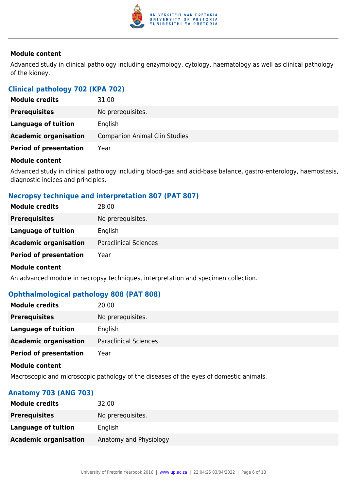

Advanced study in clinical pathology including enzymology, cytology, haematology as well as clinical pathology of the kidney.

### **Clinical pathology 702 (KPA 702)**

| <b>Module credits</b>         | 31.00                                |
|-------------------------------|--------------------------------------|
| <b>Prerequisites</b>          | No prerequisites.                    |
| Language of tuition           | English                              |
| <b>Academic organisation</b>  | <b>Companion Animal Clin Studies</b> |
| <b>Period of presentation</b> | Year                                 |

### **Module content**

Advanced study in clinical pathology including blood-gas and acid-base balance, gastro-enterology, haemostasis, diagnostic indices and principles.

### **Necropsy technique and interpretation 807 (PAT 807)**

| <b>Module credits</b>         | 28.00                        |
|-------------------------------|------------------------------|
| <b>Prerequisites</b>          | No prerequisites.            |
| Language of tuition           | English                      |
| <b>Academic organisation</b>  | <b>Paraclinical Sciences</b> |
| <b>Period of presentation</b> | Year                         |
| <b>Module content</b>         |                              |

An advanced module in necropsy techniques, interpretation and specimen collection.

### **Ophthalmological pathology 808 (PAT 808)**

| <b>Module credits</b>         | 20.00                        |
|-------------------------------|------------------------------|
| <b>Prerequisites</b>          | No prerequisites.            |
| Language of tuition           | English                      |
| <b>Academic organisation</b>  | <b>Paraclinical Sciences</b> |
| <b>Period of presentation</b> | Year                         |

### **Module content**

Macroscopic and microscopic pathology of the diseases of the eyes of domestic animals.

### **Anatomy 703 (ANG 703)**

| <b>Module credits</b>        | 32.00                  |
|------------------------------|------------------------|
| <b>Prerequisites</b>         | No prerequisites.      |
| Language of tuition          | English                |
| <b>Academic organisation</b> | Anatomy and Physiology |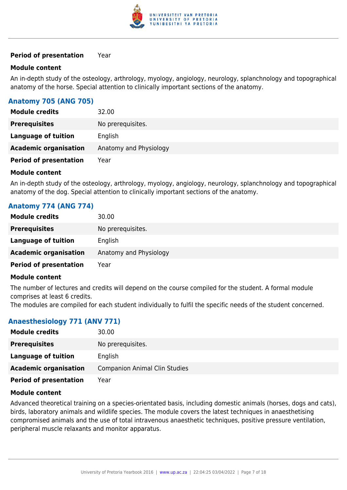

### **Period of presentation** Year

### **Module content**

An in-depth study of the osteology, arthrology, myology, angiology, neurology, splanchnology and topographical anatomy of the horse. Special attention to clinically important sections of the anatomy.

### **Anatomy 705 (ANG 705)**

| <b>Module credits</b>         | 32.00                  |
|-------------------------------|------------------------|
| <b>Prerequisites</b>          | No prerequisites.      |
| Language of tuition           | English                |
| <b>Academic organisation</b>  | Anatomy and Physiology |
| <b>Period of presentation</b> | Year                   |

### **Module content**

An in-depth study of the osteology, arthrology, myology, angiology, neurology, splanchnology and topographical anatomy of the dog. Special attention to clinically important sections of the anatomy.

### **Anatomy 774 (ANG 774)**

| <b>Module credits</b>         | 30.00                  |
|-------------------------------|------------------------|
| <b>Prerequisites</b>          | No prerequisites.      |
| <b>Language of tuition</b>    | English                |
| <b>Academic organisation</b>  | Anatomy and Physiology |
| <b>Period of presentation</b> | Year                   |

### **Module content**

The number of lectures and credits will depend on the course compiled for the student. A formal module comprises at least 6 credits.

The modules are compiled for each student individually to fulfil the specific needs of the student concerned.

### **Anaesthesiology 771 (ANV 771)**

| <b>Module credits</b>         | 30.00                                |
|-------------------------------|--------------------------------------|
| <b>Prerequisites</b>          | No prerequisites.                    |
| Language of tuition           | English                              |
| <b>Academic organisation</b>  | <b>Companion Animal Clin Studies</b> |
| <b>Period of presentation</b> | Year                                 |

### **Module content**

Advanced theoretical training on a species-orientated basis, including domestic animals (horses, dogs and cats), birds, laboratory animals and wildlife species. The module covers the latest techniques in anaesthetising compromised animals and the use of total intravenous anaesthetic techniques, positive pressure ventilation, peripheral muscle relaxants and monitor apparatus.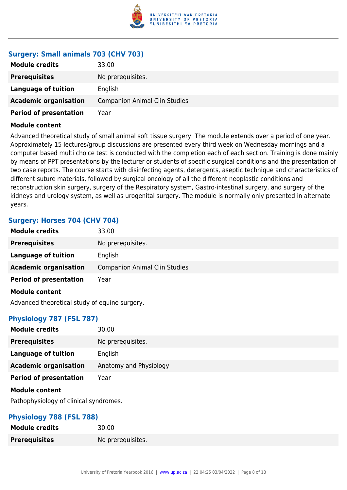

### **Surgery: Small animals 703 (CHV 703)**

| <b>Module credits</b>         | 33.00                                |
|-------------------------------|--------------------------------------|
| <b>Prerequisites</b>          | No prerequisites.                    |
| Language of tuition           | English                              |
| <b>Academic organisation</b>  | <b>Companion Animal Clin Studies</b> |
| <b>Period of presentation</b> | Year                                 |

### **Module content**

Advanced theoretical study of small animal soft tissue surgery. The module extends over a period of one year. Approximately 15 lectures/group discussions are presented every third week on Wednesday mornings and a computer based multi choice test is conducted with the completion each of each section. Training is done mainly by means of PPT presentations by the lecturer or students of specific surgical conditions and the presentation of two case reports. The course starts with disinfecting agents, detergents, aseptic technique and characteristics of different suture materials, followed by surgical oncology of all the different neoplastic conditions and reconstruction skin surgery, surgery of the Respiratory system, Gastro-intestinal surgery, and surgery of the kidneys and urology system, as well as urogenital surgery. The module is normally only presented in alternate years.

### **Surgery: Horses 704 (CHV 704)**

| <b>Module credits</b>                         | 33.00                                |
|-----------------------------------------------|--------------------------------------|
| <b>Prerequisites</b>                          | No prerequisites.                    |
| <b>Language of tuition</b>                    | English                              |
| <b>Academic organisation</b>                  | <b>Companion Animal Clin Studies</b> |
| <b>Period of presentation</b>                 | Year                                 |
| <b>Module content</b>                         |                                      |
| Advanced theoretical study of equine surgery. |                                      |

### **Physiology 787 (FSL 787)**

| <b>Module credits</b>         | 30.00                  |
|-------------------------------|------------------------|
| <b>Prerequisites</b>          | No prerequisites.      |
| <b>Language of tuition</b>    | English                |
| <b>Academic organisation</b>  | Anatomy and Physiology |
| <b>Period of presentation</b> | Year                   |
| <b>Module content</b>         |                        |

Pathophysiology of clinical syndromes.

### **Physiology 788 (FSL 788)**

| <b>Module credits</b> | 30.00             |
|-----------------------|-------------------|
| <b>Prerequisites</b>  | No prerequisites. |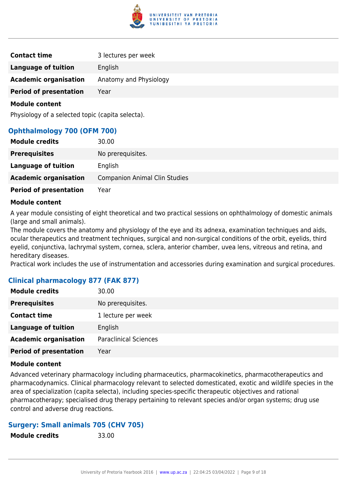

| <b>Contact time</b>           | 3 lectures per week    |
|-------------------------------|------------------------|
| Language of tuition           | English                |
| <b>Academic organisation</b>  | Anatomy and Physiology |
| <b>Period of presentation</b> | Year                   |

Physiology of a selected topic (capita selecta).

### **Ophthalmology 700 (OFM 700)**

| <b>Module credits</b>         | 30.00                                |
|-------------------------------|--------------------------------------|
| <b>Prerequisites</b>          | No prerequisites.                    |
| Language of tuition           | English                              |
| <b>Academic organisation</b>  | <b>Companion Animal Clin Studies</b> |
| <b>Period of presentation</b> | Year                                 |

### **Module content**

A year module consisting of eight theoretical and two practical sessions on ophthalmology of domestic animals (large and small animals).

The module covers the anatomy and physiology of the eye and its adnexa, examination techniques and aids, ocular therapeutics and treatment techniques, surgical and non-surgical conditions of the orbit, eyelids, third eyelid, conjunctiva, lachrymal system, cornea, sclera, anterior chamber, uvea lens, vitreous and retina, and hereditary diseases.

Practical work includes the use of instrumentation and accessories during examination and surgical procedures.

### **Clinical pharmacology 877 (FAK 877)**

| <b>Module credits</b>         | 30.00                        |
|-------------------------------|------------------------------|
| <b>Prerequisites</b>          | No prerequisites.            |
| <b>Contact time</b>           | 1 lecture per week           |
| <b>Language of tuition</b>    | English                      |
| <b>Academic organisation</b>  | <b>Paraclinical Sciences</b> |
| <b>Period of presentation</b> | Year                         |

### **Module content**

Advanced veterinary pharmacology including pharmaceutics, pharmacokinetics, pharmacotherapeutics and pharmacodynamics. Clinical pharmacology relevant to selected domesticated, exotic and wildlife species in the area of specialization (capita selecta), including species-specific therapeutic objectives and rational pharmacotherapy; specialised drug therapy pertaining to relevant species and/or organ systems; drug use control and adverse drug reactions.

### **Surgery: Small animals 705 (CHV 705)**

| <b>Module credits</b> | 33.00 |
|-----------------------|-------|
|                       |       |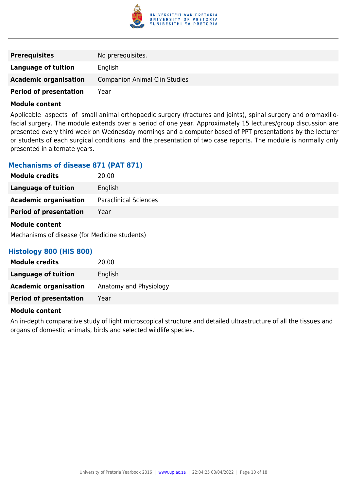

| <b>Prerequisites</b>          | No prerequisites.                    |
|-------------------------------|--------------------------------------|
| Language of tuition           | English                              |
| <b>Academic organisation</b>  | <b>Companion Animal Clin Studies</b> |
| <b>Period of presentation</b> | Year                                 |

Applicable aspects of small animal orthopaedic surgery (fractures and joints), spinal surgery and oromaxillofacial surgery. The module extends over a period of one year. Approximately 15 lectures/group discussion are presented every third week on Wednesday mornings and a computer based of PPT presentations by the lecturer or students of each surgical conditions and the presentation of two case reports. The module is normally only presented in alternate years.

### **Mechanisms of disease 871 (PAT 871)**

| <b>Module credits</b>         | 20.00                        |
|-------------------------------|------------------------------|
| <b>Language of tuition</b>    | English                      |
| <b>Academic organisation</b>  | <b>Paraclinical Sciences</b> |
| <b>Period of presentation</b> | Year                         |
| <b>Module content</b>         |                              |

### Mechanisms of disease (for Medicine students)

### **Histology 800 (HIS 800)**

| <b>Module credits</b>         | 20.00                  |
|-------------------------------|------------------------|
| Language of tuition           | English                |
| <b>Academic organisation</b>  | Anatomy and Physiology |
| <b>Period of presentation</b> | Year                   |

### **Module content**

An in-depth comparative study of light microscopical structure and detailed ultrastructure of all the tissues and organs of domestic animals, birds and selected wildlife species.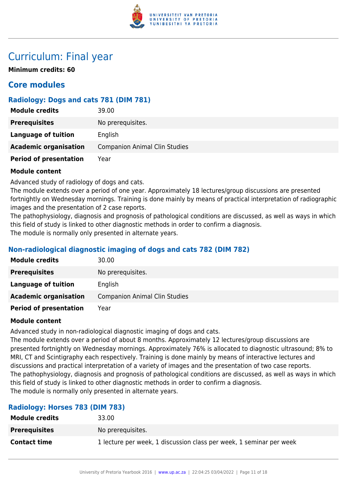

### Curriculum: Final year

**Minimum credits: 60**

### **Core modules**

### **Radiology: Dogs and cats 781 (DIM 781)**

| <b>Module credits</b>         | 39.00                                |
|-------------------------------|--------------------------------------|
| <b>Prerequisites</b>          | No prerequisites.                    |
| Language of tuition           | English                              |
| <b>Academic organisation</b>  | <b>Companion Animal Clin Studies</b> |
| <b>Period of presentation</b> | Year                                 |

### **Module content**

Advanced study of radiology of dogs and cats.

The module extends over a period of one year. Approximately 18 lectures/group discussions are presented fortnightly on Wednesday mornings. Training is done mainly by means of practical interpretation of radiographic images and the presentation of 2 case reports.

The pathophysiology, diagnosis and prognosis of pathological conditions are discussed, as well as ways in which this field of study is linked to other diagnostic methods in order to confirm a diagnosis.

The module is normally only presented in alternate years.

### **Non-radiological diagnostic imaging of dogs and cats 782 (DIM 782)**

| <b>Module credits</b>         | 30.00                                |
|-------------------------------|--------------------------------------|
| <b>Prerequisites</b>          | No prerequisites.                    |
| Language of tuition           | English                              |
| <b>Academic organisation</b>  | <b>Companion Animal Clin Studies</b> |
| <b>Period of presentation</b> | Year                                 |

### **Module content**

Advanced study in non-radiological diagnostic imaging of dogs and cats.

The module extends over a period of about 8 months. Approximately 12 lectures/group discussions are presented fortnightly on Wednesday mornings. Approximately 76% is allocated to diagnostic ultrasound; 8% to MRI, CT and Scintigraphy each respectively. Training is done mainly by means of interactive lectures and discussions and practical interpretation of a variety of images and the presentation of two case reports. The pathophysiology, diagnosis and prognosis of pathological conditions are discussed, as well as ways in which this field of study is linked to other diagnostic methods in order to confirm a diagnosis. The module is normally only presented in alternate years.

### **Radiology: Horses 783 (DIM 783)**

| <b>Module credits</b> | 33.00                                                               |
|-----------------------|---------------------------------------------------------------------|
| <b>Prerequisites</b>  | No prerequisites.                                                   |
| <b>Contact time</b>   | 1 lecture per week, 1 discussion class per week, 1 seminar per week |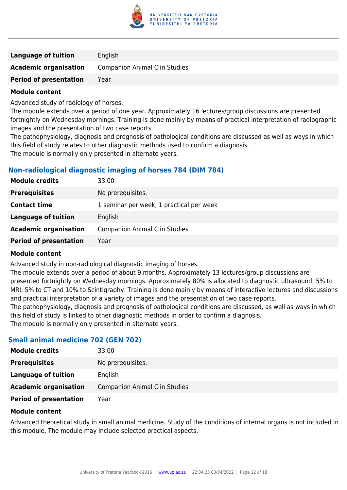

| <b>Language of tuition</b>    | English                              |
|-------------------------------|--------------------------------------|
| <b>Academic organisation</b>  | <b>Companion Animal Clin Studies</b> |
| <b>Period of presentation</b> | Year                                 |

Advanced study of radiology of horses.

The module extends over a period of one year. Approximately 16 lectures/group discussions are presented fortnightly on Wednesday mornings. Training is done mainly by means of practical interpretation of radiographic images and the presentation of two case reports.

The pathophysiology, diagnosis and prognosis of pathological conditions are discussed as well as ways in which this field of study relates to other diagnostic methods used to confirm a diagnosis.

The module is normally only presented in alternate years.

### **Non-radiological diagnostic imaging of horses 784 (DIM 784)**

| 33.00                                    |
|------------------------------------------|
| No prerequisites.                        |
| 1 seminar per week, 1 practical per week |
| English                                  |
| <b>Companion Animal Clin Studies</b>     |
| Year                                     |
|                                          |

### **Module content**

Advanced study in non-radiological diagnostic imaging of horses.

The module extends over a period of about 9 months. Approximately 13 lectures/group discussions are presented fortnightly on Wednesday mornings. Approximately 80% is allocated to diagnostic ultrasound; 5% to MRI, 5% to CT and 10% to Scintigraphy. Training is done mainly by means of interactive lectures and discussions and practical interpretation of a variety of images and the presentation of two case reports.

The pathophysiology, diagnosis and prognosis of pathological conditions are discussed, as well as ways in which this field of study is linked to other diagnostic methods in order to confirm a diagnosis.

The module is normally only presented in alternate years.

### **Small animal medicine 702 (GEN 702)**

| <b>Module credits</b>         | 33.00                                |
|-------------------------------|--------------------------------------|
| <b>Prerequisites</b>          | No prerequisites.                    |
| Language of tuition           | English                              |
| <b>Academic organisation</b>  | <b>Companion Animal Clin Studies</b> |
| <b>Period of presentation</b> | Year                                 |

### **Module content**

Advanced theoretical study in small animal medicine. Study of the conditions of internal organs is not included in this module. The module may include selected practical aspects.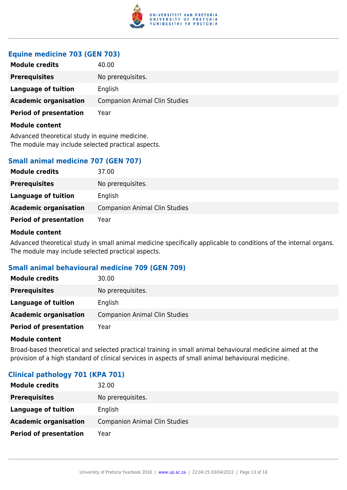

### **Equine medicine 703 (GEN 703)**

| <b>Module credits</b>         | 40.00                                |
|-------------------------------|--------------------------------------|
| <b>Prerequisites</b>          | No prerequisites.                    |
| Language of tuition           | English                              |
| <b>Academic organisation</b>  | <b>Companion Animal Clin Studies</b> |
| <b>Period of presentation</b> | Year                                 |
| Module content                |                                      |

Advanced theoretical study in equine medicine. The module may include selected practical aspects.

### **Small animal medicine 707 (GEN 707)**

| <b>Module credits</b>         | 37.00                                |
|-------------------------------|--------------------------------------|
| <b>Prerequisites</b>          | No prerequisites.                    |
| Language of tuition           | English                              |
| <b>Academic organisation</b>  | <b>Companion Animal Clin Studies</b> |
| <b>Period of presentation</b> | Year                                 |

### **Module content**

Advanced theoretical study in small animal medicine specifically applicable to conditions of the internal organs. The module may include selected practical aspects.

### **Small animal behavioural medicine 709 (GEN 709)**

| <b>Module credits</b>         | 30.00                                |
|-------------------------------|--------------------------------------|
| <b>Prerequisites</b>          | No prerequisites.                    |
| Language of tuition           | English                              |
| <b>Academic organisation</b>  | <b>Companion Animal Clin Studies</b> |
| <b>Period of presentation</b> | Year                                 |

### **Module content**

Broad-based theoretical and selected practical training in small animal behavioural medicine aimed at the provision of a high standard of clinical services in aspects of small animal behavioural medicine.

### **Clinical pathology 701 (KPA 701)**

| <b>Module credits</b>         | 32.00                                |
|-------------------------------|--------------------------------------|
| <b>Prerequisites</b>          | No prerequisites.                    |
| Language of tuition           | English                              |
| <b>Academic organisation</b>  | <b>Companion Animal Clin Studies</b> |
| <b>Period of presentation</b> | Year                                 |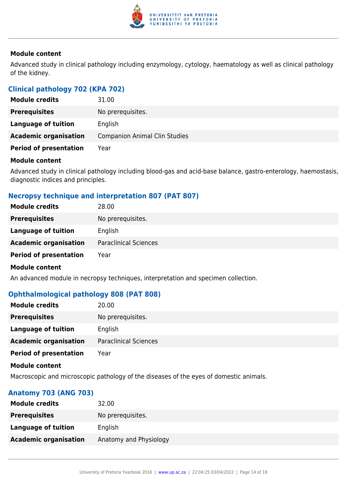

Advanced study in clinical pathology including enzymology, cytology, haematology as well as clinical pathology of the kidney.

### **Clinical pathology 702 (KPA 702)**

| <b>Module credits</b>         | 31.00                                |
|-------------------------------|--------------------------------------|
| <b>Prerequisites</b>          | No prerequisites.                    |
| Language of tuition           | English                              |
| <b>Academic organisation</b>  | <b>Companion Animal Clin Studies</b> |
| <b>Period of presentation</b> | Year                                 |

### **Module content**

Advanced study in clinical pathology including blood-gas and acid-base balance, gastro-enterology, haemostasis, diagnostic indices and principles.

### **Necropsy technique and interpretation 807 (PAT 807)**

| <b>Module credits</b>         | 28.00                        |
|-------------------------------|------------------------------|
| <b>Prerequisites</b>          | No prerequisites.            |
| Language of tuition           | English                      |
| <b>Academic organisation</b>  | <b>Paraclinical Sciences</b> |
| <b>Period of presentation</b> | Year                         |
| <b>Module content</b>         |                              |

An advanced module in necropsy techniques, interpretation and specimen collection.

### **Ophthalmological pathology 808 (PAT 808)**

| <b>Module credits</b>         | 20.00                        |
|-------------------------------|------------------------------|
| <b>Prerequisites</b>          | No prerequisites.            |
| Language of tuition           | English                      |
| <b>Academic organisation</b>  | <b>Paraclinical Sciences</b> |
| <b>Period of presentation</b> | Year                         |

### **Module content**

Macroscopic and microscopic pathology of the diseases of the eyes of domestic animals.

### **Anatomy 703 (ANG 703)**

| <b>Module credits</b>        | 32.00                  |
|------------------------------|------------------------|
| <b>Prerequisites</b>         | No prerequisites.      |
| Language of tuition          | English                |
| <b>Academic organisation</b> | Anatomy and Physiology |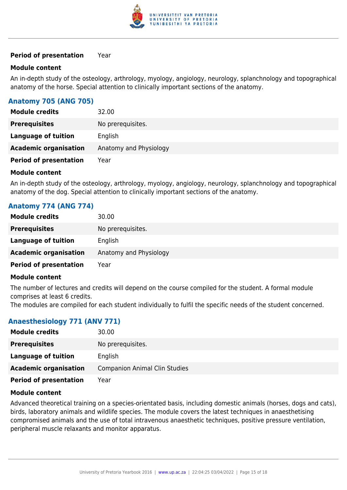

### **Period of presentation** Year

### **Module content**

An in-depth study of the osteology, arthrology, myology, angiology, neurology, splanchnology and topographical anatomy of the horse. Special attention to clinically important sections of the anatomy.

### **Anatomy 705 (ANG 705)**

| <b>Module credits</b>         | 32.00                  |
|-------------------------------|------------------------|
| <b>Prerequisites</b>          | No prerequisites.      |
| Language of tuition           | English                |
| <b>Academic organisation</b>  | Anatomy and Physiology |
| <b>Period of presentation</b> | Year                   |

### **Module content**

An in-depth study of the osteology, arthrology, myology, angiology, neurology, splanchnology and topographical anatomy of the dog. Special attention to clinically important sections of the anatomy.

### **Anatomy 774 (ANG 774)**

| <b>Module credits</b>         | 30.00                  |
|-------------------------------|------------------------|
| <b>Prerequisites</b>          | No prerequisites.      |
| <b>Language of tuition</b>    | English                |
| <b>Academic organisation</b>  | Anatomy and Physiology |
| <b>Period of presentation</b> | Year                   |

### **Module content**

The number of lectures and credits will depend on the course compiled for the student. A formal module comprises at least 6 credits.

The modules are compiled for each student individually to fulfil the specific needs of the student concerned.

### **Anaesthesiology 771 (ANV 771)**

| <b>Module credits</b>         | 30.00                                |
|-------------------------------|--------------------------------------|
| <b>Prerequisites</b>          | No prerequisites.                    |
| Language of tuition           | English                              |
| <b>Academic organisation</b>  | <b>Companion Animal Clin Studies</b> |
| <b>Period of presentation</b> | Year                                 |

### **Module content**

Advanced theoretical training on a species-orientated basis, including domestic animals (horses, dogs and cats), birds, laboratory animals and wildlife species. The module covers the latest techniques in anaesthetising compromised animals and the use of total intravenous anaesthetic techniques, positive pressure ventilation, peripheral muscle relaxants and monitor apparatus.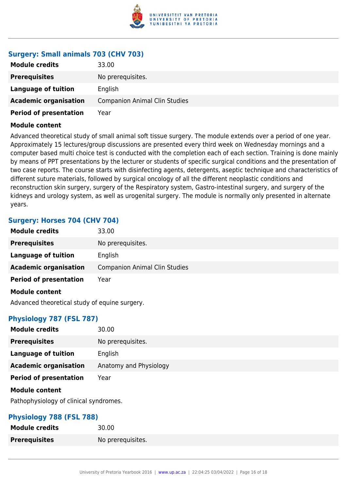

### **Surgery: Small animals 703 (CHV 703)**

| <b>Module credits</b>         | 33.00                                |
|-------------------------------|--------------------------------------|
| <b>Prerequisites</b>          | No prerequisites.                    |
| Language of tuition           | English                              |
| <b>Academic organisation</b>  | <b>Companion Animal Clin Studies</b> |
| <b>Period of presentation</b> | Year                                 |

### **Module content**

Advanced theoretical study of small animal soft tissue surgery. The module extends over a period of one year. Approximately 15 lectures/group discussions are presented every third week on Wednesday mornings and a computer based multi choice test is conducted with the completion each of each section. Training is done mainly by means of PPT presentations by the lecturer or students of specific surgical conditions and the presentation of two case reports. The course starts with disinfecting agents, detergents, aseptic technique and characteristics of different suture materials, followed by surgical oncology of all the different neoplastic conditions and reconstruction skin surgery, surgery of the Respiratory system, Gastro-intestinal surgery, and surgery of the kidneys and urology system, as well as urogenital surgery. The module is normally only presented in alternate years.

### **Surgery: Horses 704 (CHV 704)**

| <b>Module credits</b>                         | 33.00                                |
|-----------------------------------------------|--------------------------------------|
| <b>Prerequisites</b>                          | No prerequisites.                    |
| <b>Language of tuition</b>                    | English                              |
| <b>Academic organisation</b>                  | <b>Companion Animal Clin Studies</b> |
| <b>Period of presentation</b>                 | Year                                 |
| <b>Module content</b>                         |                                      |
| Advanced theoretical study of equine surgery. |                                      |

### **Physiology 787 (FSL 787)**

| <b>Module credits</b>         | 30.00                  |
|-------------------------------|------------------------|
| <b>Prerequisites</b>          | No prerequisites.      |
| <b>Language of tuition</b>    | English                |
| <b>Academic organisation</b>  | Anatomy and Physiology |
| <b>Period of presentation</b> | Year                   |
| <b>Module content</b>         |                        |

Pathophysiology of clinical syndromes.

### **Physiology 788 (FSL 788)**

| <b>Module credits</b> | 30.00             |
|-----------------------|-------------------|
| <b>Prerequisites</b>  | No prerequisites. |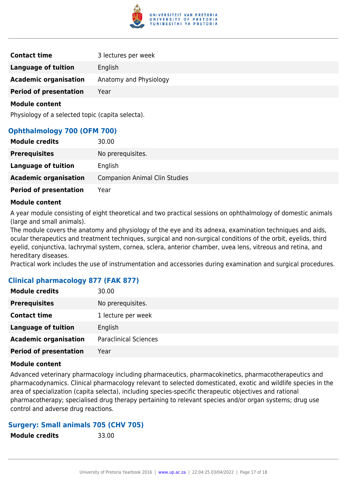

| <b>Contact time</b>           | 3 lectures per week    |
|-------------------------------|------------------------|
| <b>Language of tuition</b>    | English                |
| <b>Academic organisation</b>  | Anatomy and Physiology |
| <b>Period of presentation</b> | Year                   |

Physiology of a selected topic (capita selecta).

### **Ophthalmology 700 (OFM 700)**

| <b>Module credits</b>         | 30.00                                |
|-------------------------------|--------------------------------------|
| <b>Prerequisites</b>          | No prerequisites.                    |
| Language of tuition           | English                              |
| <b>Academic organisation</b>  | <b>Companion Animal Clin Studies</b> |
| <b>Period of presentation</b> | Year                                 |

### **Module content**

A year module consisting of eight theoretical and two practical sessions on ophthalmology of domestic animals (large and small animals).

The module covers the anatomy and physiology of the eye and its adnexa, examination techniques and aids, ocular therapeutics and treatment techniques, surgical and non-surgical conditions of the orbit, eyelids, third eyelid, conjunctiva, lachrymal system, cornea, sclera, anterior chamber, uvea lens, vitreous and retina, and hereditary diseases.

Practical work includes the use of instrumentation and accessories during examination and surgical procedures.

### **Clinical pharmacology 877 (FAK 877)**

| <b>Module credits</b>         | 30.00                        |
|-------------------------------|------------------------------|
| <b>Prerequisites</b>          | No prerequisites.            |
| <b>Contact time</b>           | 1 lecture per week           |
| <b>Language of tuition</b>    | English                      |
| <b>Academic organisation</b>  | <b>Paraclinical Sciences</b> |
| <b>Period of presentation</b> | Year                         |

### **Module content**

Advanced veterinary pharmacology including pharmaceutics, pharmacokinetics, pharmacotherapeutics and pharmacodynamics. Clinical pharmacology relevant to selected domesticated, exotic and wildlife species in the area of specialization (capita selecta), including species-specific therapeutic objectives and rational pharmacotherapy; specialised drug therapy pertaining to relevant species and/or organ systems; drug use control and adverse drug reactions.

### **Surgery: Small animals 705 (CHV 705)**

| <b>Module credits</b> | 33.00 |
|-----------------------|-------|
|                       |       |